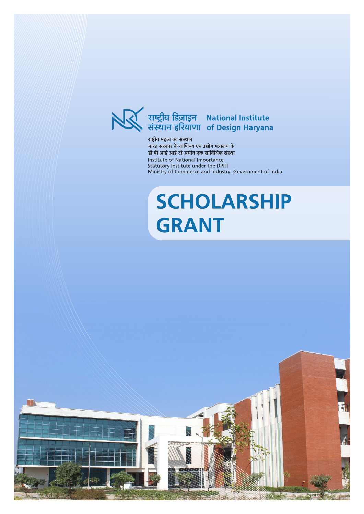

राष्ट्रीय महत्व का संस्थान भारत सरकार के वाणिज्य एवं उद्योग मंत्रालय के डी पी आई आई टी अधीन एक सांविधिक संस्था Institute of National Importance Statutory Institute under the DPIIT Ministry of Commerce and Industry, Government of India

# **SCHOLARSHIP GRANT**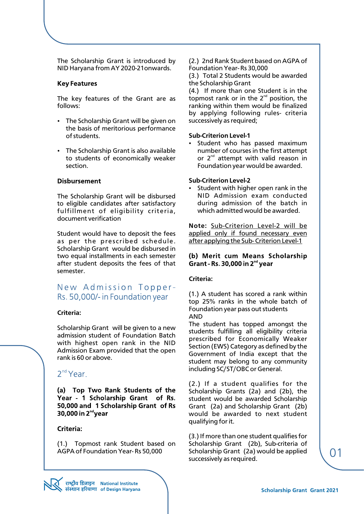The Scholarship Grant is introduced by NID Haryana from AY 2020-21onwards.

#### **Key Features**

The key features of the Grant are as follows:

- The Scholarship Grant will be given on the basis of meritorious performance of students.
- The Scholarship Grant is also available to students of economically weaker section.

#### **Disbursement**

The Scholarship Grant will be disbursed to eligible candidates after satisfactory fulfillment of eligibility criteria, document verification

Student would have to deposit the fees as per the prescribed schedule. Scholarship Grant would be disbursed in two equal installments in each semester after student deposits the fees of that semester.

# New Admission Topper-Rs. 50,000/- in Foundation year

#### **Criteria:**

Scholarship Grant will be given to a new admission student of Foundation Batch with highest open rank in the NID Admission Exam provided that the open rank is 60 or above.

# 2<sup>nd</sup> Year.

(a) Top Two Rank Students of the Year - 1 Scholarship Grant of Rs. 50,000 and 1 Scholarship Grant of Rs 30,000 in 2<sup>nd</sup>year

#### **Criteria:**

(1.) Topmost rank Student based on AGPA of Foundation Year- Rs 50,000

(2.) 2nd Rank Student based on AGPA of Foundation Year- Rs 30,000

(3.) Total 2 Students would be awarded the Scholarship Grant

(4.) If more than one Student is in the topmost rank or in the  $2^{nd}$  position, the ranking within them would be finalized by applying following rules- criteria successively as required;

#### **Sub-Criterion Level-1**

Student who has passed maximum number of courses in the first attempt or  $2<sup>nd</sup>$  attempt with valid reason in Foundation year would be awarded.

#### **Sub-Criterion Level-2**

Student with higher open rank in the NID Admission exam conducted during admission of the batch in which admitted would be awarded.

**Note:** Sub-Criterion Level-2 will be applied only if found necessary even after applying the Sub- Criterion Level-1

#### (b) Merit cum Means Scholarship Grant - Rs. 30,000 in  $2^{nd}$  year

#### **Criteria:**

(1.) A student has scored a rank within top 25% ranks in the whole batch of Foundation year pass out students AND

The student has topped amongst the students fulfilling all eligibility criteria prescribed for Economically Weaker Section (EWS) Category as defined by the Government of India except that the student may belong to any community including SC/ST/OBC or General.

(2.) If a student qualifies for the Scholarship Grants (2a) and (2b), the student would be awarded Scholarship Grant (2a) and Scholarship Grant (2b) would be awarded to next student qualifying for it.

(3.) If more than one student qualifies for Scholarship Grant (2b), Sub-criteria of Scholarship Grant (2a) would be applied successively as required.

01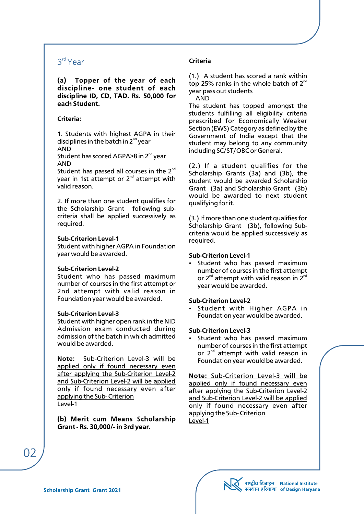# 3rd Year

(a) Topper of the year of each discipline- one student of each discipline ID, CD, TAD. Rs. 50,000 for each Student

# **Criteria:**

1. Students with highest AGPA in their disciplines in the batch in  $2<sup>nd</sup>$  year AND

Student has scored AGPA $>8$  in 2<sup>nd</sup> year AND

Student has passed all courses in the  $2<sup>nd</sup>$ year in 1st attempt or  $2<sup>nd</sup>$  attempt with valid reason.

2. If more than one student qualifies for the Scholarship Grant following subcriteria shall be applied successively as required.

## **Sub-Criterion Level-1**

Student with higher AGPA in Foundation year would be awarded.

# **Sub-Criterion Level-2**

Student who has passed maximum number of courses in the first attempt or 2nd attempt with valid reason in Foundation year would be awarded.

## **Sub-Criterion Level-3**

Student with higher open rank in the NID Admission exam conducted during admission of the batch in which admitted would be awarded.

**Note:** Sub-Criterion Level-3 will be applied only if found necessary even after applying the Sub-Criterion Level-2 and Sub-Criterion Level-2 will be applied only if found necessary even after applying the Sub- Criterion Level-1

(b) Merit cum Means Scholarship Grant - Rs. 30,000/- in 3rd year.

# **Criteria**

(1.) A student has scored a rank within top 25% ranks in the whole batch of  $2^{nd}$ year pass out students AND

The student has topped amongst the students fulfilling all eligibility criteria prescribed for Economically Weaker Section (EWS) Category as defined by the Government of India except that the student may belong to any community including SC/ST/OBC or General.

(2.) If a student qualifies for the Scholarship Grants (3a) and (3b), the student would be awarded Scholarship Grant (3a) and Scholarship Grant (3b) would be awarded to next student qualifying for it.

(3.) If more than one student qualifies for Scholarship Grant (3b), following Subcriteria would be applied successively as required.

# **Sub-Criterion Level-1**

• Student who has passed maximum number of courses in the first attempt or  $2^{nd}$  attempt with valid reason in  $2^{nd}$ year would be awarded.

## **Sub-Criterion Level-2**

• Student with Higher AGPA in Foundation year would be awarded.

## **Sub-Criterion Level-3**

Student who has passed maximum number of courses in the first attempt or  $2^{nd}$  attempt with valid reason in Foundation year would be awarded.

**Note:** Sub-Criterion Level-3 will be applied only if found necessary even after applying the Sub-Criterion Level-2 and Sub-Criterion Level-2 will be applied only if found necessary even after applying the Sub- Criterion Level-1

02

राष्ट्रीय डिज़ाइन National Institute<br>संस्थान हरियाणा of Design Haryana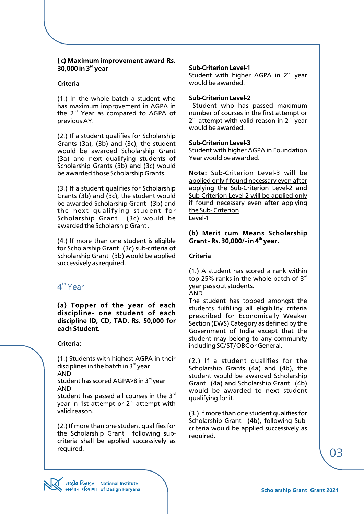# (c) Maximum improvement award-Rs. 30,000 in  $3<sup>rd</sup>$  year.

## **Criteria**

(1.) In the whole batch a student who has maximum improvement in AGPA in the  $2^{nd}$  Year as compared to AGPA of previous AY.

(2.) If a student qualifies for Scholarship Grants (3a), (3b) and (3c), the student would be awarded Scholarship Grant (3a) and next qualifying students of Scholarship Grants (3b) and (3c) would be awarded those Scholarship Grants.

(3.) If a student qualifies for Scholarship Grants (3b) and (3c), the student would be awarded Scholarship Grant (3b) and the next qualifying student for Scholarship Grant (3c) would be awarded the Scholarship Grant .

(4.) If more than one student is eligible for Scholarship Grant (3c) sub-criteria of Scholarship Grant (3b) would be applied successively as required.

# 4<sup>th</sup> Year

(a) Topper of the year of each discipline- one student of each discipline ID, CD, TAD. Rs. 50,000 for each Student.

## **Criteria:**

(1.) Students with highest AGPA in their disciplines in the batch in  $3<sup>rd</sup>$  year

AND

Student has scored AGPA>8 in 3<sup>rd</sup> year AND

Student has passed all courses in the  $3<sup>rd</sup>$ year in 1st attempt or  $2<sup>nd</sup>$  attempt with valid reason.

(2.) If more than one student qualifies for the Scholarship Grant following subcriteria shall be applied successively as required.

#### **Sub-Criterion Level-1**

Student with higher AGPA in  $2^{nd}$  year would be awarded.

#### **Sub-Criterion Level-2**

Student who has passed maximum number of courses in the first attempt or  $2^{nd}$  attempt with valid reason in  $2^{nd}$  year would be awarded.

#### **Sub-Criterion Level-3**

Student with higher AGPA in Foundation Year would be awarded.

**Note:** Sub-Criterion Level-3 will be applied onlyif found necessary even after applying the Sub-Criterion Level-2 and Sub-Criterion Level-2 will be applied only if found necessary even after applying the Sub- Criterion Level-1

#### (b) Merit cum Means Scholarship Grant - Rs. 30,000/- in 4<sup>th</sup> year.

#### **Criteria**

(1.) A student has scored a rank within top 25% ranks in the whole batch of  $3<sup>rd</sup>$ year pass out students.

AND

The student has topped amongst the students fulfilling all eligibility criteria prescribed for Economically Weaker Section (EWS) Category as defined by the Government of India except that the student may belong to any community including SC/ST/OBC or General.

(2.) If a student qualifies for the Scholarship Grants (4a) and (4b), the student would be awarded Scholarship Grant (4a) and Scholarship Grant (4b) would be awarded to next student qualifying for it.

(3.) If more than one student qualifies for Scholarship Grant (4b), following Subcriteria would be applied successively as required.

03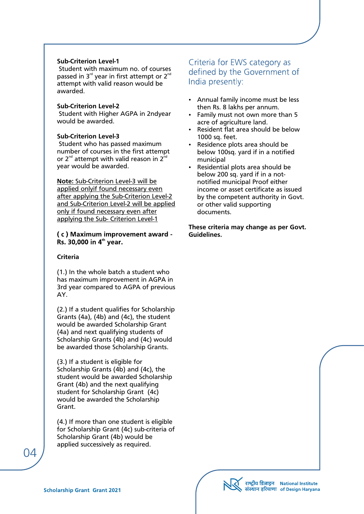#### **Sub-Criterion Level-1**

 Student with maximum no. of courses passed in  $3<sup>rd</sup>$  year in first attempt or  $2<sup>nd</sup>$ attempt with valid reason would be awarded.

#### **Sub-Criterion Level-2**

 Student with Higher AGPA in 2ndyear would be awarded.

# **Sub-Criterion Level-3**

 Student who has passed maximum number of courses in the first attempt or  $2^{nd}$  attempt with valid reason in  $2^{nd}$ year would be awarded.

# **Note:** Sub-Criterion Level-3 will be

applied onlyif found necessary even after applying the Sub-Criterion Level-2 and Sub-Criterion Level-2 will be applied only if found necessary even after applying the Sub- Criterion Level-1

# (c) Maximum improvement award -Rs. 30,000 in  $4<sup>th</sup>$  year.

#### **Criteria**

(1.) In the whole batch a student who has maximum improvement in AGPA in 3rd year compared to AGPA of previous AY.

(2.) If a student qualifies for Scholarship Grants (4a), (4b) and (4c), the student would be awarded Scholarship Grant (4a) and next qualifying students of Scholarship Grants (4b) and (4c) would be awarded those Scholarship Grants.

(3.) If a student is eligible for Scholarship Grants (4b) and (4c), the student would be awarded Scholarship Grant (4b) and the next qualifying student for Scholarship Grant (4c) would be awarded the Scholarship Grant.

(4.) If more than one student is eligible for Scholarship Grant (4c) sub-criteria of Scholarship Grant (4b) would be applied successively as required.

# Criteria for EWS category as defined by the Government of India presently:

- Annual family income must be less then Rs. 8 lakhs per annum.
- Family must not own more than 5 acre of agriculture land.
- Resident flat area should be below 1000 sq. feet.
- Residence plots area should be below 100sq. yard if in a notified municipal
- Residential plots area should be below 200 sq. yard if in a notnotified municipal Proof either income or asset certificate as issued by the competent authority in Govt. or other valid supporting documents.

**These criteria may change as per Govt. Guidelines.**

राष्ट्रीय डिज़ाइन National Institute<br>संस्थान हरियाणा of Design Haryana

04